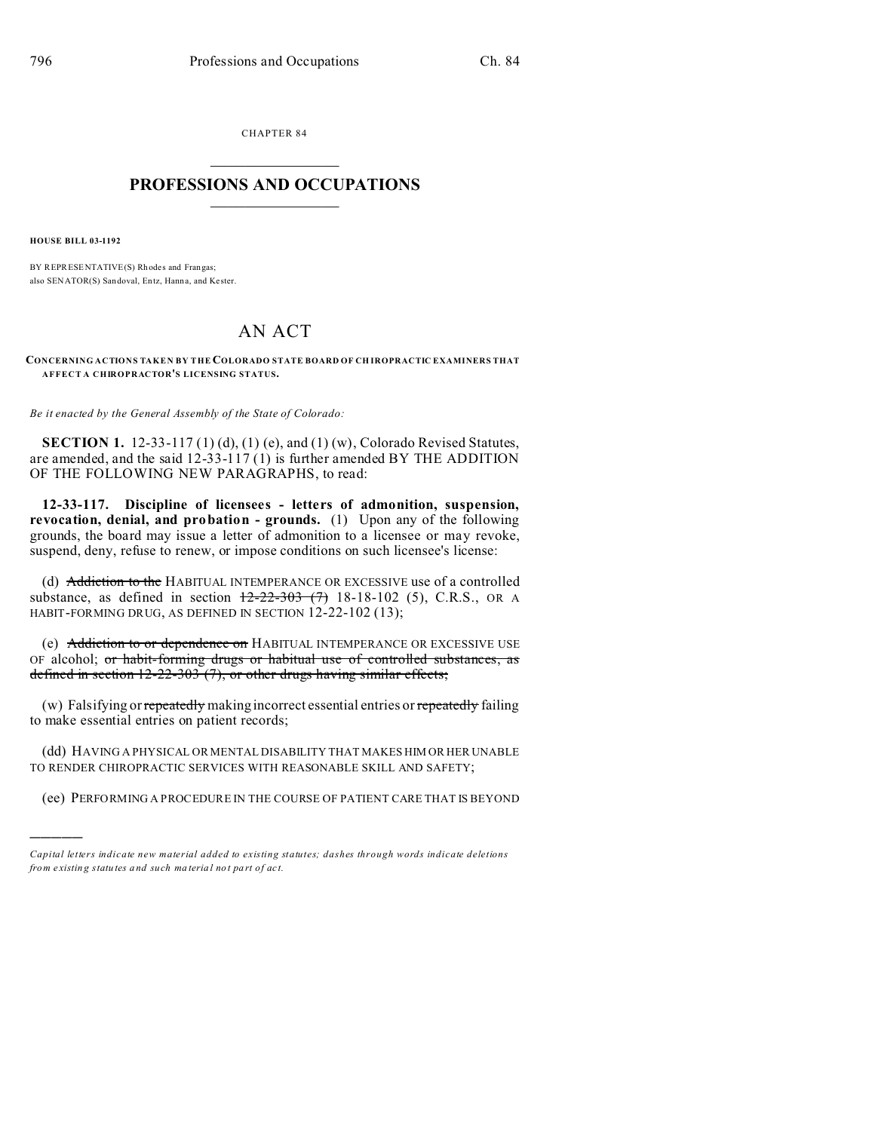CHAPTER 84  $\overline{\phantom{a}}$  , where  $\overline{\phantom{a}}$ 

## **PROFESSIONS AND OCCUPATIONS**  $\frac{1}{2}$  ,  $\frac{1}{2}$  ,  $\frac{1}{2}$  ,  $\frac{1}{2}$  ,  $\frac{1}{2}$  ,  $\frac{1}{2}$

**HOUSE BILL 03-1192**

)))))

BY REPRESENTATIVE(S) Rh odes and Frangas; also SENATOR(S) San doval, En tz, Hanna, and Ke ster.

## AN ACT

**CONCERNING ACTIONS TAKEN BY THE COLORADO STATE BOARD OF CH IROPRACTIC EXAMINERS THAT AFFECT A CHIROPRACTOR'S LICENSING STATUS.**

*Be it enacted by the General Assembly of the State of Colorado:*

**SECTION 1.** 12-33-117 (1) (d), (1) (e), and (1) (w), Colorado Revised Statutes, are amended, and the said  $12-33-117(1)$  is further amended BY THE ADDITION OF THE FOLLOWING NEW PARAGRAPHS, to read:

**12-33-117. Discipline of licensees - letters of admonition, suspension, revocation, denial, and probation - grounds.** (1) Upon any of the following grounds, the board may issue a letter of admonition to a licensee or may revoke, suspend, deny, refuse to renew, or impose conditions on such licensee's license:

(d) Addiction to the HABITUAL INTEMPERANCE OR EXCESSIVE use of a controlled substance, as defined in section  $12-22-303$  (7) 18-18-102 (5), C.R.S., OR A HABIT-FORMING DRUG, AS DEFINED IN SECTION 12-22-102 (13);

(e) Addiction to or dependence on HABITUAL INTEMPERANCE OR EXCESSIVE USE OF alcohol; or habit-forming drugs or habitual use of controlled substances, as defined in section 12-22-303 (7), or other drugs having similar effects;

(w) Falsifying or repeatedly making incorrect essential entries or repeatedly failing to make essential entries on patient records;

(dd) HAVING A PHYSICAL OR MENTAL DISABILITY THAT MAKES HIM OR HER UNABLE TO RENDER CHIROPRACTIC SERVICES WITH REASONABLE SKILL AND SAFETY;

(ee) PERFORMING A PROCEDURE IN THE COURSE OF PATIENT CARE THAT IS BEYOND

*Capital letters indicate new material added to existing statutes; dashes through words indicate deletions from e xistin g statu tes a nd such ma teria l no t pa rt of ac t.*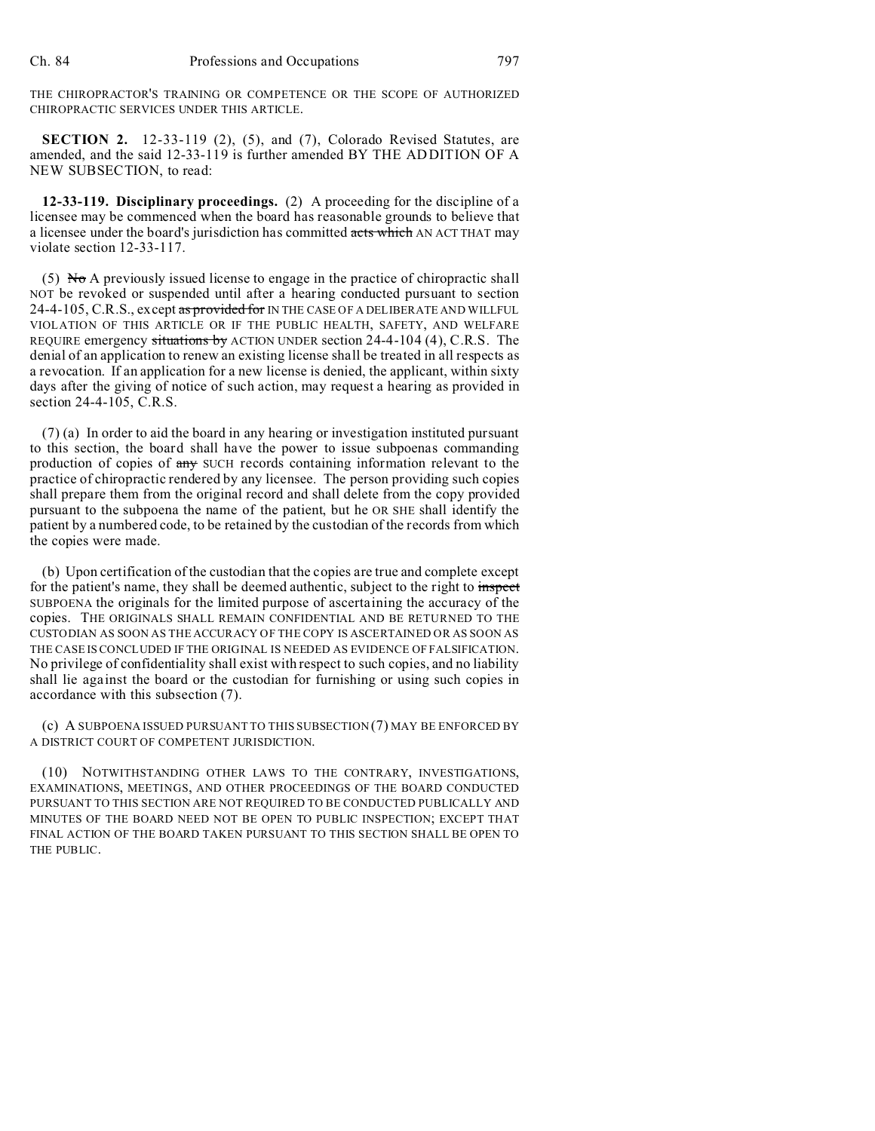THE CHIROPRACTOR'S TRAINING OR COMPETENCE OR THE SCOPE OF AUTHORIZED CHIROPRACTIC SERVICES UNDER THIS ARTICLE.

**SECTION 2.** 12-33-119 (2), (5), and (7), Colorado Revised Statutes, are amended, and the said 12-33-119 is further amended BY THE ADDITION OF A NEW SUBSECTION, to read:

**12-33-119. Disciplinary proceedings.** (2) A proceeding for the discipline of a licensee may be commenced when the board has reasonable grounds to believe that a licensee under the board's jurisdiction has committed acts which AN ACT THAT may violate section 12-33-117.

 $(5)$  No A previously issued license to engage in the practice of chiropractic shall NOT be revoked or suspended until after a hearing conducted pursuant to section 24-4-105, C.R.S., except as provided for IN THE CASE OF A DELIBERATE AND WILLFUL VIOLATION OF THIS ARTICLE OR IF THE PUBLIC HEALTH, SAFETY, AND WELFARE REQUIRE emergency situations by ACTION UNDER section 24-4-104 (4), C.R.S. The denial of an application to renew an existing license shall be treated in all respects as a revocation. If an application for a new license is denied, the applicant, within sixty days after the giving of notice of such action, may request a hearing as provided in section 24-4-105, C.R.S.

(7) (a) In order to aid the board in any hearing or investigation instituted pursuant to this section, the board shall have the power to issue subpoenas commanding production of copies of any SUCH records containing information relevant to the practice of chiropractic rendered by any licensee. The person providing such copies shall prepare them from the original record and shall delete from the copy provided pursuant to the subpoena the name of the patient, but he OR SHE shall identify the patient by a numbered code, to be retained by the custodian of the records from which the copies were made.

(b) Upon certification of the custodian that the copies are true and complete except for the patient's name, they shall be deemed authentic, subject to the right to inspect SUBPOENA the originals for the limited purpose of ascertaining the accuracy of the copies. THE ORIGINALS SHALL REMAIN CONFIDENTIAL AND BE RETURNED TO THE CUSTODIAN AS SOON AS THE ACCURACY OF THE COPY IS ASCERTAINED OR AS SOON AS THE CASE IS CONCLUDED IF THE ORIGINAL IS NEEDED AS EVIDENCE OF FALSIFICATION. No privilege of confidentiality shall exist with respect to such copies, and no liability shall lie against the board or the custodian for furnishing or using such copies in accordance with this subsection (7).

(c) A SUBPOENA ISSUED PURSUANT TO THIS SUBSECTION (7) MAY BE ENFORCED BY A DISTRICT COURT OF COMPETENT JURISDICTION.

(10) NOTWITHSTANDING OTHER LAWS TO THE CONTRARY, INVESTIGATIONS, EXAMINATIONS, MEETINGS, AND OTHER PROCEEDINGS OF THE BOARD CONDUCTED PURSUANT TO THIS SECTION ARE NOT REQUIRED TO BE CONDUCTED PUBLICALLY AND MINUTES OF THE BOARD NEED NOT BE OPEN TO PUBLIC INSPECTION; EXCEPT THAT FINAL ACTION OF THE BOARD TAKEN PURSUANT TO THIS SECTION SHALL BE OPEN TO THE PUBLIC.